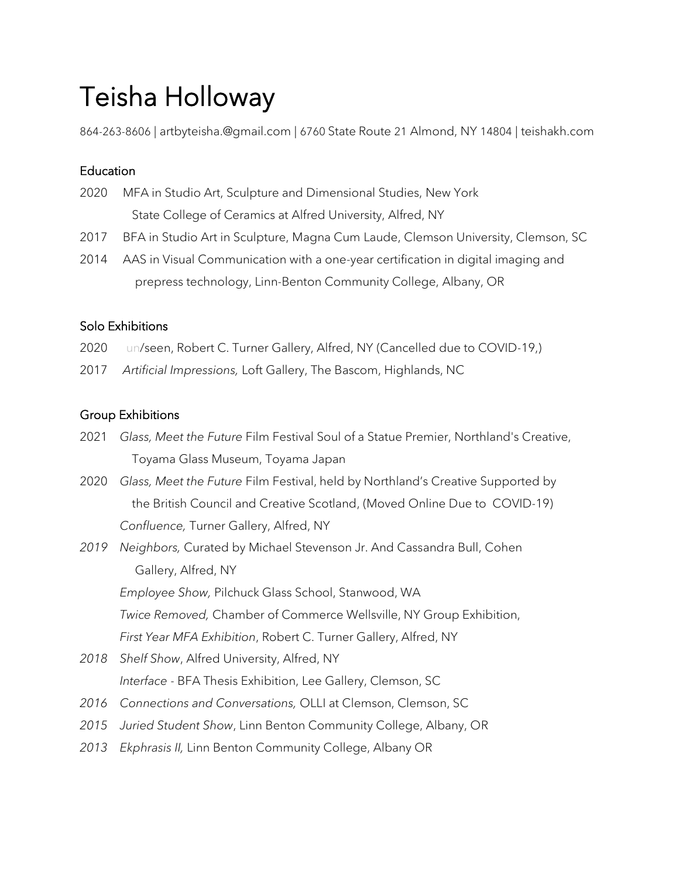# Teisha Holloway

864-263-8606 | artbyteisha.@gmail.com | 6760 State Route 21 Almond, NY 14804 | teishakh.com

## **Education**

- 2020 MFA in Studio Art, Sculpture and Dimensional Studies, New York State College of Ceramics at Alfred University, Alfred, NY
- 2017 BFA in Studio Art in Sculpture, Magna Cum Laude, Clemson University, Clemson, SC
- 2014 AAS in Visual Communication with a one-year certification in digital imaging and prepress technology, Linn-Benton Community College, Albany, OR

## Solo Exhibitions

- 2020 un/seen, Robert C. Turner Gallery, Alfred, NY (Cancelled due to COVID-19.)
- 2017 *Artificial Impressions,* Loft Gallery, The Bascom, Highlands, NC

# Group Exhibitions

- 2021 *Glass, Meet the Future* Film Festival Soul of a Statue Premier, Northland's Creative, Toyama Glass Museum, Toyama Japan
- 2020 *Glass, Meet the Future* Film Festival, held by Northland's Creative Supported by the British Council and Creative Scotland, (Moved Online Due to COVID-19) *Confluence,* Turner Gallery, Alfred, NY
- *2019 Neighbors,* Curated by Michael Stevenson Jr. And Cassandra Bull, Cohen Gallery, Alfred, NY *Employee Show,* Pilchuck Glass School, Stanwood, WA *Twice Removed,* Chamber of Commerce Wellsville, NY Group Exhibition, *First Year MFA Exhibition*, Robert C. Turner Gallery, Alfred, NY
- *2018 Shelf Show*, Alfred University, Alfred, NY *Interface* - BFA Thesis Exhibition, Lee Gallery, Clemson, SC
- *2016 Connections and Conversations,* OLLI at Clemson, Clemson, SC
- *2015 Juried Student Show*, Linn Benton Community College, Albany, OR
- *2013 Ekphrasis II,* Linn Benton Community College, Albany OR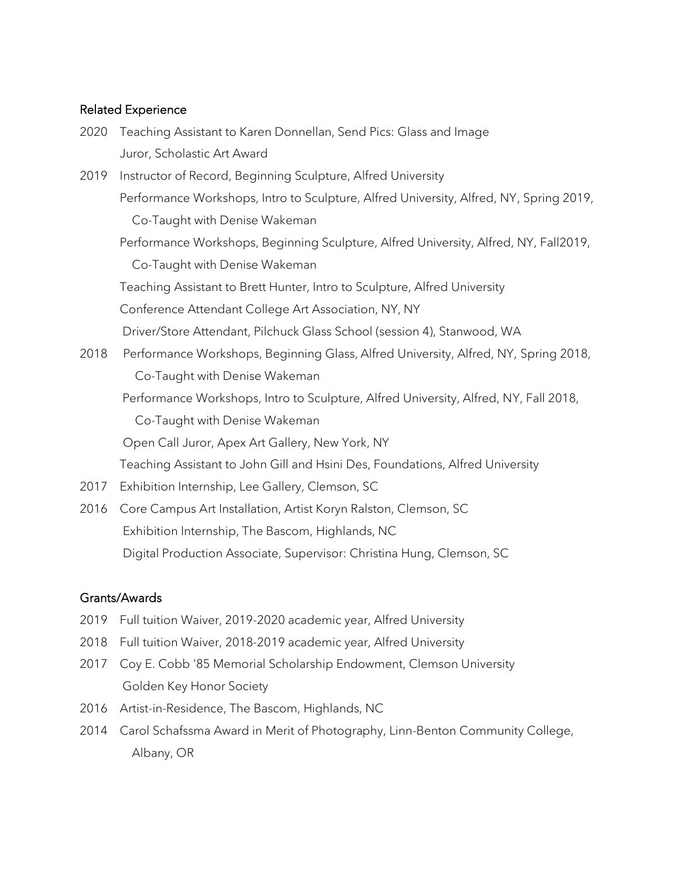#### Related Experience

| 2020 | Teaching Assistant to Karen Donnellan, Send Pics: Glass and Image                      |
|------|----------------------------------------------------------------------------------------|
|      | Juror, Scholastic Art Award                                                            |
| 2019 | Instructor of Record, Beginning Sculpture, Alfred University                           |
|      | Performance Workshops, Intro to Sculpture, Alfred University, Alfred, NY, Spring 2019, |
|      | Co-Taught with Denise Wakeman                                                          |
|      | Performance Workshops, Beginning Sculpture, Alfred University, Alfred, NY, Fall2019,   |
|      | Co-Taught with Denise Wakeman                                                          |
|      | Teaching Assistant to Brett Hunter, Intro to Sculpture, Alfred University              |
|      | Conference Attendant College Art Association, NY, NY                                   |
|      | Driver/Store Attendant, Pilchuck Glass School (session 4), Stanwood, WA                |
| 2018 | Performance Workshops, Beginning Glass, Alfred University, Alfred, NY, Spring 2018,    |
|      | Co-Taught with Denise Wakeman                                                          |
|      | Performance Workshops, Intro to Sculpture, Alfred University, Alfred, NY, Fall 2018,   |
|      | Co-Taught with Denise Wakeman                                                          |
|      | Open Call Juror, Apex Art Gallery, New York, NY                                        |
|      | Teaching Assistant to John Gill and Hsini Des, Foundations, Alfred University          |
| 2017 | Exhibition Internship, Lee Gallery, Clemson, SC                                        |
| 2016 | Core Campus Art Installation, Artist Koryn Ralston, Clemson, SC                        |
|      | Exhibition Internship, The Bascom, Highlands, NC                                       |

Digital Production Associate, Supervisor: Christina Hung, Clemson, SC

### Grants/Awards

- 2019 Full tuition Waiver, 2019-2020 academic year, Alfred University
- 2018 Full tuition Waiver, 2018-2019 academic year, Alfred University
- 2017 Coy E. Cobb '85 Memorial Scholarship Endowment, Clemson University Golden Key Honor Society
- 2016 Artist-in-Residence, The Bascom, Highlands, NC
- 2014 Carol Schafssma Award in Merit of Photography, Linn-Benton Community College, Albany, OR